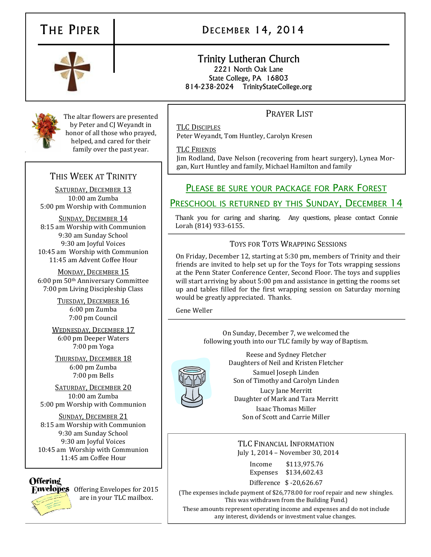# THE PIPER | DECEMBER 14, 2014



#### Trinity Lutheran Church 2221 North Oak Lane State College, PA 16803 814-238-2024 TrinityStateCollege.org

# PRAYER LIST

TLC DISCIPLES Peter Weyandt, Tom Huntley, Carolyn Kresen

TLC FRIENDS

Jim Rodland, Dave Nelson (recovering from heart surgery), Lynea Morgan, Kurt Huntley and family, Michael Hamilton and family

# PLEASE BE SURE YOUR PACKAGE FOR PARK FOREST

### PRESCHOOL IS RETURNED BY THIS SUNDAY, DECEMBER 14

Thank you for caring and sharing. Any questions, please contact Connie Lorah (814) 933-6155.

#### TOYS FOR TOTS WRAPPING SESSIONS

On Friday, December 12, starting at 5:30 pm, members of Trinity and their friends are invited to help set up for the Toys for Tots wrapping sessions at the Penn Stater Conference Center, Second Floor. The toys and supplies will start arriving by about 5:00 pm and assistance in getting the rooms set up and tables filled for the first wrapping session on Saturday morning would be greatly appreciated. Thanks.

Gene Weller

On Sunday, December 7, we welcomed the following youth into our TLC family by way of Baptism.



Reese and Sydney Fletcher Daughters of Neil and Kristen Fletcher

Samuel Joseph Linden Son of Timothy and Carolyn Linden

Lucy Jane Merritt Daughter of Mark and Tara Merritt Isaac Thomas Miller

Son of Scott and Carrie Miller

TLC FINANCIAL INFORMATION July 1, 2014 – November 30, 2014

| Income   | \$113,975.76            |
|----------|-------------------------|
| Expenses | \$134,602.43            |
|          | Difference \$-20,626.67 |

(The expenses include payment of \$26,778.00 for roof repair and new shingles. This was withdrawn from the Building Fund.)

These amounts represent operating income and expenses and do not include any interest, dividends or investment value changes.

# THIS WEEK AT TRINITY

SATURDAY, DECEMBER 13 10:00 am Zumba 5:00 pm Worship with Communion

The altar flowers are presented by Peter and CJ Weyandt in honor of all those who prayed, helped, and cared for their family over the past year.

SUNDAY, DECEMBER 14 8:15 am Worship with Communion 9:30 am Sunday School 9:30 am Joyful Voices 10:45 am Worship with Communion 11:45 am Advent Coffee Hour

MONDAY, DECEMBER 15 6:00 pm 50th Anniversary Committee 7:00 pm Living Discipleship Class

> TUESDAY, DECEMBER 16 6:00 pm Zumba 7:00 pm Council

WEDNESDAY, DECEMBER 17 6:00 pm Deeper Waters 7:00 pm Yoga

THURSDAY, DECEMBER 18 6:00 pm Zumba 7:00 pm Bells

SATURDAY, DECEMBER 20 10:00 am Zumba 5:00 pm Worship with Communion

SUNDAY, DECEMBER 21 8:15 am Worship with Communion 9:30 am Sunday School 9:30 am Joyful Voices 10:45 am Worship with Communion 11:45 am Coffee Hour

## **Offerind**



**Frivelopes** Offering Envelopes for 2015 are in your TLC mailbox.